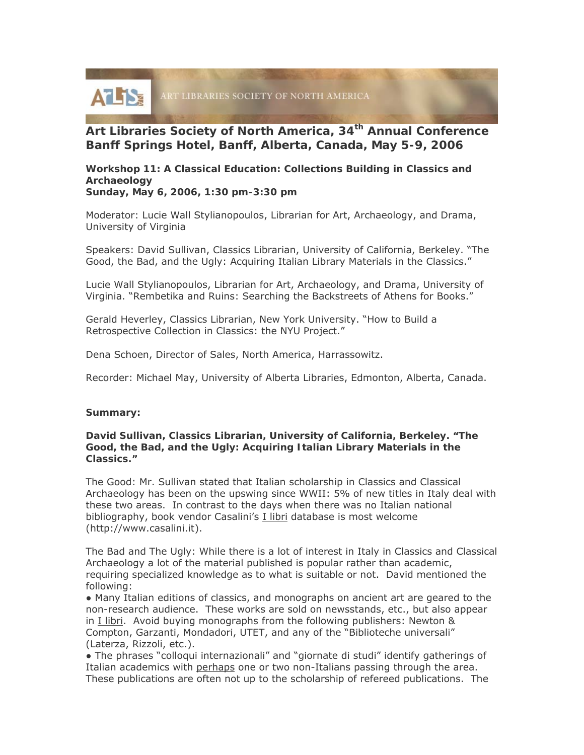

# **Art Libraries Society of North America, 34th Annual Conference Banff Springs Hotel, Banff, Alberta, Canada, May 5-9, 2006**

**Workshop 11: A Classical Education: Collections Building in Classics and Archaeology** 

**Sunday, May 6, 2006, 1:30 pm-3:30 pm** 

Moderator: Lucie Wall Stylianopoulos, Librarian for Art, Archaeology, and Drama, University of Virginia

Speakers: David Sullivan, Classics Librarian, University of California, Berkeley. "The Good, the Bad, and the Ugly: Acquiring Italian Library Materials in the Classics."

Lucie Wall Stylianopoulos, Librarian for Art, Archaeology, and Drama, University of Virginia. "Rembetika and Ruins: Searching the Backstreets of Athens for Books."

Gerald Heverley, Classics Librarian, New York University. "How to Build a Retrospective Collection in Classics: the NYU Project."

Dena Schoen, Director of Sales, North America, Harrassowitz.

Recorder: Michael May, University of Alberta Libraries, Edmonton, Alberta, Canada.

#### **Summary:**

#### **David Sullivan, Classics Librarian, University of California, Berkeley. "The Good, the Bad, and the Ugly: Acquiring Italian Library Materials in the Classics."**

The Good: Mr. Sullivan stated that Italian scholarship in Classics and Classical Archaeology has been on the upswing since WWII: 5% of new titles in Italy deal with these two areas. In contrast to the days when there was no Italian national bibliography, book vendor Casalini's I libri database is most welcome (http://www.casalini.it).

The Bad and The Ugly: While there is a lot of interest in Italy in Classics and Classical Archaeology a lot of the material published is popular rather than academic, requiring specialized knowledge as to what is suitable or not. David mentioned the following:

● Many Italian editions of classics, and monographs on ancient art are geared to the non-research audience. These works are sold on newsstands, etc., but also appear in I libri. Avoid buying monographs from the following publishers: Newton & Compton, Garzanti, Mondadori, UTET, and any of the "Biblioteche universali" (Laterza, Rizzoli, etc.).

● The phrases "colloqui internazionali" and "giornate di studi" identify gatherings of Italian academics with perhaps one or two non-Italians passing through the area. These publications are often not up to the scholarship of refereed publications.The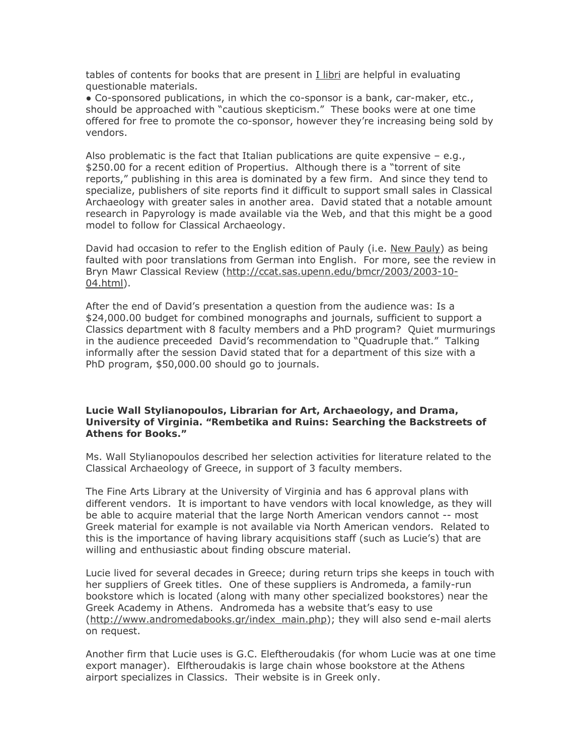tables of contents for books that are present in I libri are helpful in evaluating questionable materials.

● Co-sponsored publications, in which the co-sponsor is a bank, car-maker, etc., should be approached with "cautious skepticism." These books were at one time offered for free to promote the co-sponsor, however they're increasing being sold by vendors.

Also problematic is the fact that Italian publications are quite expensive  $-$  e.g., \$250.00 for a recent edition of Propertius. Although there is a "torrent of site reports," publishing in this area is dominated by a few firm. And since they tend to specialize, publishers of site reports find it difficult to support small sales in Classical Archaeology with greater sales in another area. David stated that a notable amount research in Papyrology is made available via the Web, and that this might be a good model to follow for Classical Archaeology.

David had occasion to refer to the English edition of Pauly (i.e. New Pauly) as being faulted with poor translations from German into English. For more, see the review in Bryn Mawr Classical Review (http://ccat.sas.upenn.edu/bmcr/2003/2003-10- 04.html).

After the end of David's presentation a question from the audience was: Is a \$24,000.00 budget for combined monographs and journals, sufficient to support a Classics department with 8 faculty members and a PhD program? Quiet murmurings in the audience preceeded David's recommendation to "Quadruple that." Talking informally after the session David stated that for a department of this size with a PhD program, \$50,000.00 should go to journals.

### **Lucie Wall Stylianopoulos, Librarian for Art, Archaeology, and Drama, University of Virginia. "Rembetika and Ruins: Searching the Backstreets of Athens for Books."**

Ms. Wall Stylianopoulos described her selection activities for literature related to the Classical Archaeology of Greece, in support of 3 faculty members.

The Fine Arts Library at the University of Virginia and has 6 approval plans with different vendors. It is important to have vendors with local knowledge, as they will be able to acquire material that the large North American vendors cannot -- most Greek material for example is not available via North American vendors. Related to this is the importance of having library acquisitions staff (such as Lucie's) that are willing and enthusiastic about finding obscure material.

Lucie lived for several decades in Greece; during return trips she keeps in touch with her suppliers of Greek titles. One of these suppliers is Andromeda, a family-run bookstore which is located (along with many other specialized bookstores) near the Greek Academy in Athens. Andromeda has a website that's easy to use (http://www.andromedabooks.gr/index\_main.php); they will also send e-mail alerts on request.

Another firm that Lucie uses is G.C. Eleftheroudakis (for whom Lucie was at one time export manager). Elftheroudakis is large chain whose bookstore at the Athens airport specializes in Classics. Their website is in Greek only.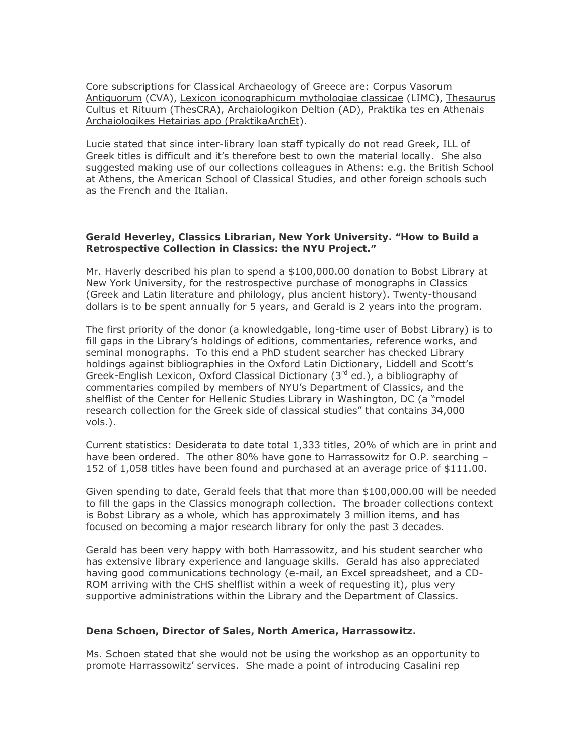Core subscriptions for Classical Archaeology of Greece are: Corpus Vasorum Antiquorum (CVA), Lexicon iconographicum mythologiae classicae (LIMC), Thesaurus Cultus et Rituum (ThesCRA), Archaiologikon Deltion (AD), Praktika tes en Athenais Archaiologikes Hetairias apo (PraktikaArchEt).

Lucie stated that since inter-library loan staff typically do not read Greek, ILL of Greek titles is difficult and it's therefore best to own the material locally. She also suggested making use of our collections colleagues in Athens: e.g. the British School at Athens, the American School of Classical Studies, and other foreign schools such as the French and the Italian.

### **Gerald Heverley, Classics Librarian, New York University. "How to Build a Retrospective Collection in Classics: the NYU Project."**

Mr. Haverly described his plan to spend a \$100,000.00 donation to Bobst Library at New York University, for the restrospective purchase of monographs in Classics (Greek and Latin literature and philology, plus ancient history). Twenty-thousand dollars is to be spent annually for 5 years, and Gerald is 2 years into the program.

The first priority of the donor (a knowledgable, long-time user of Bobst Library) is to fill gaps in the Library's holdings of editions, commentaries, reference works, and seminal monographs. To this end a PhD student searcher has checked Library holdings against bibliographies in the Oxford Latin Dictionary, Liddell and Scott's Greek-English Lexicon, Oxford Classical Dictionary  $(3<sup>rd</sup>$  ed.), a bibliography of commentaries compiled by members of NYU's Department of Classics, and the shelflist of the Center for Hellenic Studies Library in Washington, DC (a "model research collection for the Greek side of classical studies" that contains 34,000 vols.).

Current statistics: Desiderata to date total 1,333 titles, 20% of which are in print and have been ordered. The other 80% have gone to Harrassowitz for O.P. searching -152 of 1,058 titles have been found and purchased at an average price of \$111.00.

Given spending to date, Gerald feels that that more than \$100,000.00 will be needed to fill the gaps in the Classics monograph collection. The broader collections context is Bobst Library as a whole, which has approximately 3 million items, and has focused on becoming a major research library for only the past 3 decades.

Gerald has been very happy with both Harrassowitz, and his student searcher who has extensive library experience and language skills. Gerald has also appreciated having good communications technology (e-mail, an Excel spreadsheet, and a CD-ROM arriving with the CHS shelflist within a week of requesting it), plus very supportive administrations within the Library and the Department of Classics.

## **Dena Schoen, Director of Sales, North America, Harrassowitz.**

Ms. Schoen stated that she would not be using the workshop as an opportunity to promote Harrassowitz' services. She made a point of introducing Casalini rep